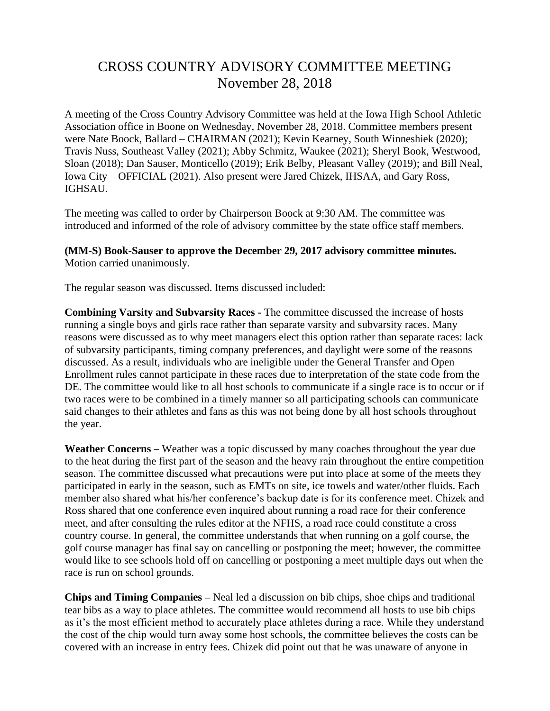## CROSS COUNTRY ADVISORY COMMITTEE MEETING November 28, 2018

A meeting of the Cross Country Advisory Committee was held at the Iowa High School Athletic Association office in Boone on Wednesday, November 28, 2018. Committee members present were Nate Boock, Ballard – CHAIRMAN (2021); Kevin Kearney, South Winneshiek (2020); Travis Nuss, Southeast Valley (2021); Abby Schmitz, Waukee (2021); Sheryl Book, Westwood, Sloan (2018); Dan Sauser, Monticello (2019); Erik Belby, Pleasant Valley (2019); and Bill Neal, Iowa City – OFFICIAL (2021). Also present were Jared Chizek, IHSAA, and Gary Ross, IGHSAU.

The meeting was called to order by Chairperson Boock at 9:30 AM. The committee was introduced and informed of the role of advisory committee by the state office staff members.

**(MM-S) Book-Sauser to approve the December 29, 2017 advisory committee minutes.**  Motion carried unanimously.

The regular season was discussed. Items discussed included:

**Combining Varsity and Subvarsity Races -** The committee discussed the increase of hosts running a single boys and girls race rather than separate varsity and subvarsity races. Many reasons were discussed as to why meet managers elect this option rather than separate races: lack of subvarsity participants, timing company preferences, and daylight were some of the reasons discussed. As a result, individuals who are ineligible under the General Transfer and Open Enrollment rules cannot participate in these races due to interpretation of the state code from the DE. The committee would like to all host schools to communicate if a single race is to occur or if two races were to be combined in a timely manner so all participating schools can communicate said changes to their athletes and fans as this was not being done by all host schools throughout the year.

**Weather Concerns –** Weather was a topic discussed by many coaches throughout the year due to the heat during the first part of the season and the heavy rain throughout the entire competition season. The committee discussed what precautions were put into place at some of the meets they participated in early in the season, such as EMTs on site, ice towels and water/other fluids. Each member also shared what his/her conference's backup date is for its conference meet. Chizek and Ross shared that one conference even inquired about running a road race for their conference meet, and after consulting the rules editor at the NFHS, a road race could constitute a cross country course. In general, the committee understands that when running on a golf course, the golf course manager has final say on cancelling or postponing the meet; however, the committee would like to see schools hold off on cancelling or postponing a meet multiple days out when the race is run on school grounds.

**Chips and Timing Companies –** Neal led a discussion on bib chips, shoe chips and traditional tear bibs as a way to place athletes. The committee would recommend all hosts to use bib chips as it's the most efficient method to accurately place athletes during a race. While they understand the cost of the chip would turn away some host schools, the committee believes the costs can be covered with an increase in entry fees. Chizek did point out that he was unaware of anyone in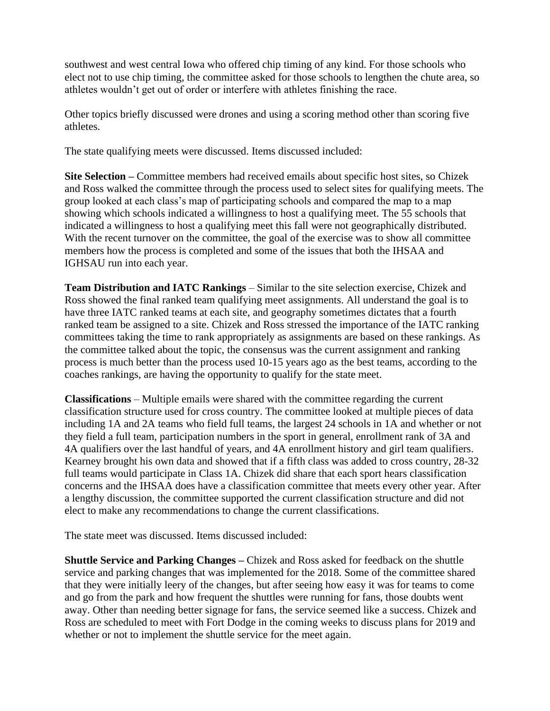southwest and west central Iowa who offered chip timing of any kind. For those schools who elect not to use chip timing, the committee asked for those schools to lengthen the chute area, so athletes wouldn't get out of order or interfere with athletes finishing the race.

Other topics briefly discussed were drones and using a scoring method other than scoring five athletes.

The state qualifying meets were discussed. Items discussed included:

**Site Selection –** Committee members had received emails about specific host sites, so Chizek and Ross walked the committee through the process used to select sites for qualifying meets. The group looked at each class's map of participating schools and compared the map to a map showing which schools indicated a willingness to host a qualifying meet. The 55 schools that indicated a willingness to host a qualifying meet this fall were not geographically distributed. With the recent turnover on the committee, the goal of the exercise was to show all committee members how the process is completed and some of the issues that both the IHSAA and IGHSAU run into each year.

**Team Distribution and IATC Rankings** – Similar to the site selection exercise, Chizek and Ross showed the final ranked team qualifying meet assignments. All understand the goal is to have three IATC ranked teams at each site, and geography sometimes dictates that a fourth ranked team be assigned to a site. Chizek and Ross stressed the importance of the IATC ranking committees taking the time to rank appropriately as assignments are based on these rankings. As the committee talked about the topic, the consensus was the current assignment and ranking process is much better than the process used 10-15 years ago as the best teams, according to the coaches rankings, are having the opportunity to qualify for the state meet.

**Classifications** – Multiple emails were shared with the committee regarding the current classification structure used for cross country. The committee looked at multiple pieces of data including 1A and 2A teams who field full teams, the largest 24 schools in 1A and whether or not they field a full team, participation numbers in the sport in general, enrollment rank of 3A and 4A qualifiers over the last handful of years, and 4A enrollment history and girl team qualifiers. Kearney brought his own data and showed that if a fifth class was added to cross country, 28-32 full teams would participate in Class 1A. Chizek did share that each sport hears classification concerns and the IHSAA does have a classification committee that meets every other year. After a lengthy discussion, the committee supported the current classification structure and did not elect to make any recommendations to change the current classifications.

The state meet was discussed. Items discussed included:

**Shuttle Service and Parking Changes –** Chizek and Ross asked for feedback on the shuttle service and parking changes that was implemented for the 2018. Some of the committee shared that they were initially leery of the changes, but after seeing how easy it was for teams to come and go from the park and how frequent the shuttles were running for fans, those doubts went away. Other than needing better signage for fans, the service seemed like a success. Chizek and Ross are scheduled to meet with Fort Dodge in the coming weeks to discuss plans for 2019 and whether or not to implement the shuttle service for the meet again.